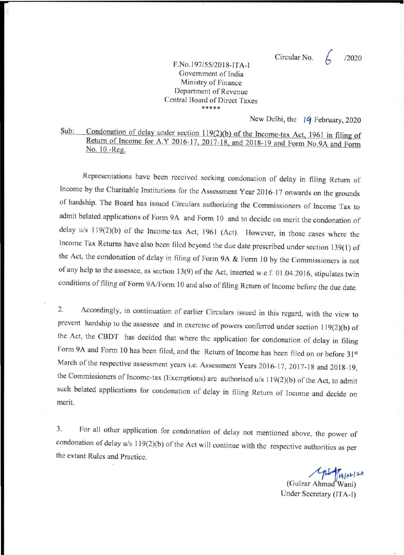Circular No.  $\angle$  12020

## F.No.197/55/20 18-IT A-I Government of India Ministry of Finance Department of Revenue Central Board of Direct Taxes **\*\*\*\*\***

New Delhi, the **Iq** February, 2020

## Sub: Condonation of delay under section 119(2)(b) of the Income-tax Act, 1961 in filing of Return of Income for A.Y 2016-17, 2017-18, and 2018-19 and Form No.9A and Form No. 10.-Reg.

Representations have been received seeking condonation of delay in filing Return of Income by the Charitable institutions for the Assessment Year 2016- 17 onwards on the grounds of hardship. The Board has issued Circulars authorizing the Commissioners of Income Tax to admit belated applications of Form 9A and Fonn 10 and to decide on merit the condonation of delay u/s 119(2)(b) of the Income-tax Act, 1961 (Act). However, in those cases where the Income Tax Returns have also been filed beyond the due date prescribed under section 139(1) of the Act, the condonation of delay in filing of Form 9A & Form 10 by the Commissioners is not of any help to the assessee, as section 13(9) of the Act, inserted w.e.f. 01.04.20 16, stipulates twin conditions of filing of Form 9A/Form 10 and also of filing Return of Income before the due date.

2. Accordingly, in continuation of earlier Circulars issued in this regard, with the view to prevent hardship to the assessee and in exercise of powers conferred under section I 19(2)(b) of the Act, the CBDT has decided that where the application for condonation of delay in filing Form 9A and Form 10 has been filed, and the Return of Income has been filed on or before 31st March of the respective assessment years i.e. Assessment Years 2016-17, 2017-18 and 2018-19, the Commissioners of Income-tax (Exemptions) arc authorised *u/s* 119(2)(b) of the Act, to admit such belated applications for condonation of delay in filing Return of Income and decide on merit.

3. For all other application for condonation of delay not mentioned above, the power of condonation of delay  $u/s$  119(2)(b) of the Act will continue with the respective authorities as per the extant Rules and Practice.

ph 19/02/20 (GuIzar Ahmad Wani) Under Secretary (ITA-I)